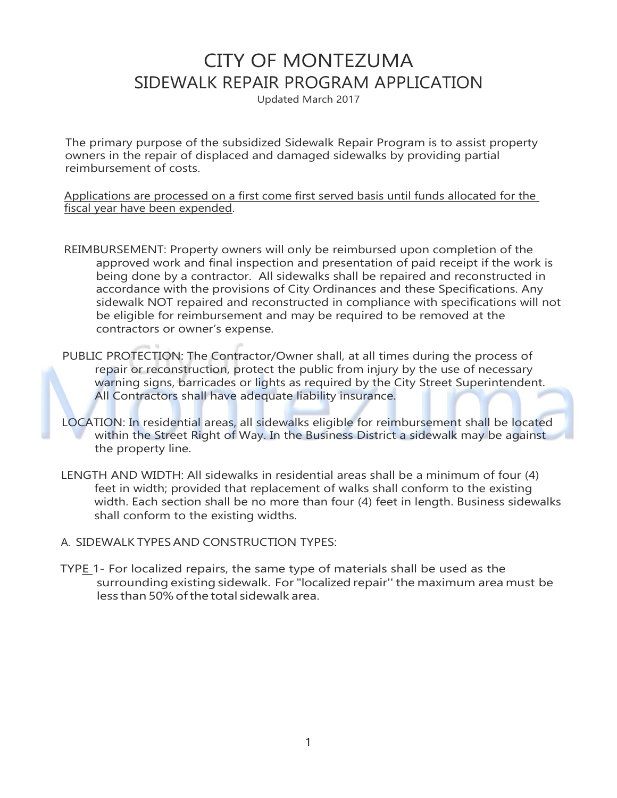## CITY OF MONTEZUMA SIDEWALK REPAIR PROGRAM APPLICATION

Updated March 2017

The primary purpose of the subsidized Sidewalk Repair Program is to assist property owners in the repair of displaced and damaged sidewalks by providing partial reimbursement of costs.

Applications are processed on a first come first served basis until funds allocated for the fiscal year have been expended.

- REIMBURSEMENT: Property owners will only be reimbursed upon completion of the approved work and final inspection and presentation of paid receipt if the work is being done by a contractor. All sidewalks shall be repaired and reconstructed in accordance with the provisions of City Ordinances and these Specifications. Any sidewalk NOT repaired and reconstructed in compliance with specifications will not be eligible for reimbursement and may be required to be removed at the contractors or owner's expense.
- PUBLIC PROTECTION: The Contractor/Owner shall, at all times during the process of repair or reconstruction, protect the public from injury by the use of necessary warning signs, barricades or lights as required by the City Street Superintendent. All Contractors shall have adequate liability insurance.
- LOCATION: In residential areas, all sidewalks eligible for reimbursement shall be located within the Street Right of Way. In the Business District a sidewalk may be against the property line.
- LENGTH AND WIDTH: All sidewalks in residential areas shall be a minimum of four (4) feet in width; provided that replacement of walks shall conform to the existing width. Each section shall be no more than four (4) feet in length. Business sidewalks shall conform to the existing widths.
- A. SIDEWALK TYPES AND CONSTRUCTION TYPES:
- TYPE 1- For localized repairs, the same type of materials shall be used as the surrounding existing sidewalk. For"localized repair'' the maximum area must be less than 50% ofthe total sidewalk area.